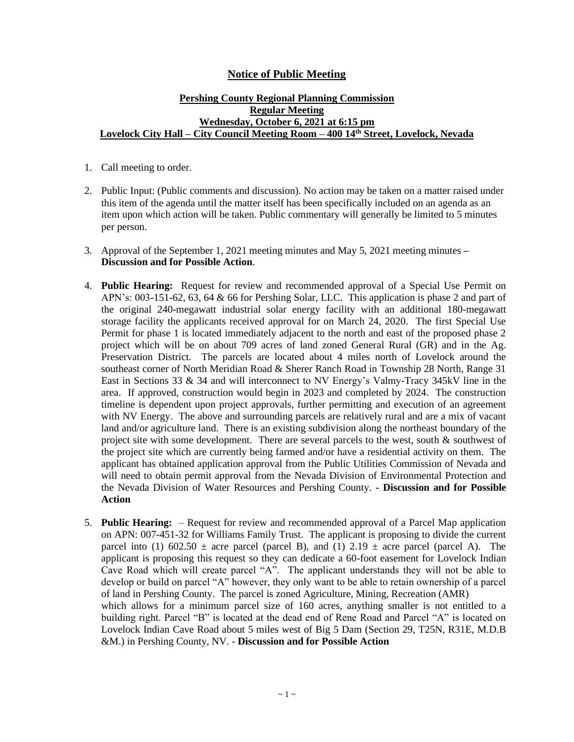## **Notice of Public Meeting**

## **Pershing County Regional Planning Commission Regular Meeting Wednesday, October 6, 2021 at 6:15 pm Lovelock City Hall – City Council Meeting Room – 400 14th Street, Lovelock, Nevada**

- 1. Call meeting to order.
- 2. Public Input: (Public comments and discussion). No action may be taken on a matter raised under this item of the agenda until the matter itself has been specifically included on an agenda as an item upon which action will be taken. Public commentary will generally be limited to 5 minutes per person.
- 3. Approval of the September 1, 2021 meeting minutes and May 5, 2021 meeting minutes **– Discussion and for Possible Action**.
- 4. **Public Hearing:** Request for review and recommended approval of a Special Use Permit on APN's: 003-151-62, 63, 64 & 66 for Pershing Solar, LLC. This application is phase 2 and part of the original 240-megawatt industrial solar energy facility with an additional 180-megawatt storage facility the applicants received approval for on March 24, 2020. The first Special Use Permit for phase 1 is located immediately adjacent to the north and east of the proposed phase 2 project which will be on about 709 acres of land zoned General Rural (GR) and in the Ag. Preservation District. The parcels are located about 4 miles north of Lovelock around the southeast corner of North Meridian Road & Sherer Ranch Road in Township 28 North, Range 31 East in Sections 33 & 34 and will interconnect to NV Energy's Valmy-Tracy 345kV line in the area. If approved, construction would begin in 2023 and completed by 2024. The construction timeline is dependent upon project approvals, further permitting and execution of an agreement with NV Energy. The above and surrounding parcels are relatively rural and are a mix of vacant land and/or agriculture land. There is an existing subdivision along the northeast boundary of the project site with some development. There are several parcels to the west, south  $\&$  southwest of the project site which are currently being farmed and/or have a residential activity on them. The applicant has obtained application approval from the Public Utilities Commission of Nevada and will need to obtain permit approval from the Nevada Division of Environmental Protection and the Nevada Division of Water Resources and Pershing County. **- Discussion and for Possible Action**
- 5. **Public Hearing:**  Request for review and recommended approval of a Parcel Map application on APN: 007-451-32 for Williams Family Trust. The applicant is proposing to divide the current parcel into (1) 602.50  $\pm$  acre parcel (parcel B), and (1) 2.19  $\pm$  acre parcel (parcel A). The applicant is proposing this request so they can dedicate a 60-foot easement for Lovelock Indian Cave Road which will create parcel "A". The applicant understands they will not be able to develop or build on parcel "A" however, they only want to be able to retain ownership of a parcel of land in Pershing County. The parcel is zoned Agriculture, Mining, Recreation (AMR) which allows for a minimum parcel size of 160 acres, anything smaller is not entitled to a building right. Parcel "B" is located at the dead end of Rene Road and Parcel "A" is located on Lovelock Indian Cave Road about 5 miles west of Big 5 Dam (Section 29, T25N, R31E, M.D.B &M.) in Pershing County, NV. - **Discussion and for Possible Action**